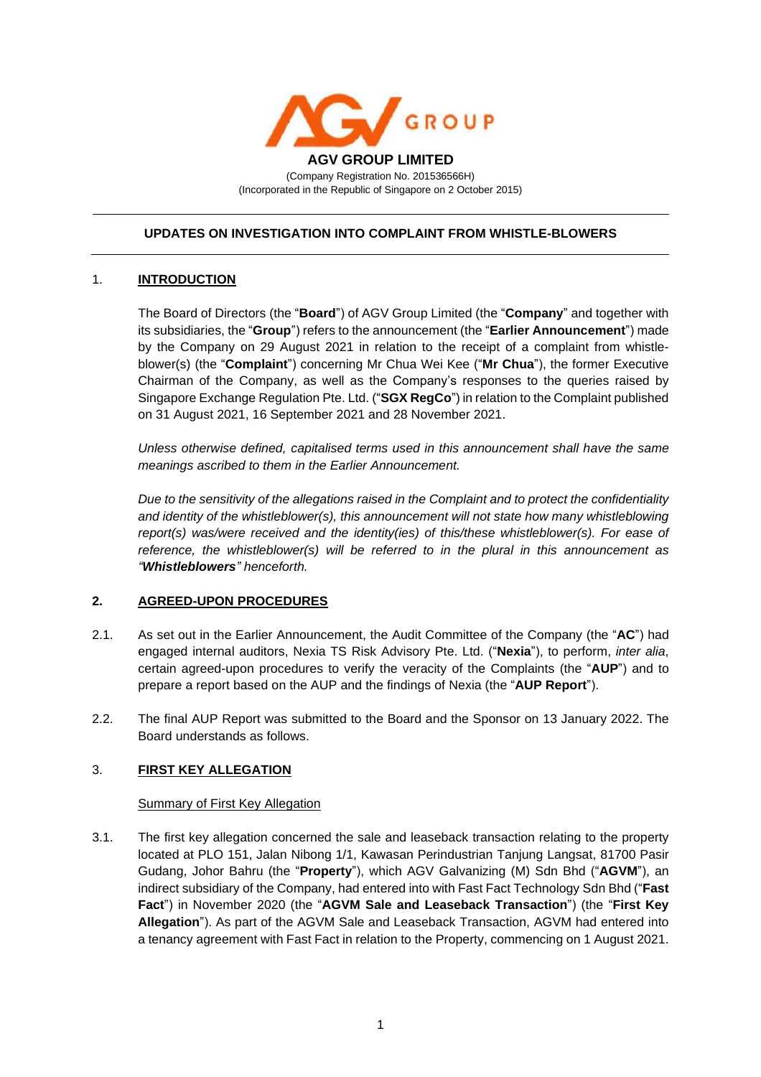

# **UPDATES ON INVESTIGATION INTO COMPLAINT FROM WHISTLE-BLOWERS**

### 1. **INTRODUCTION**

The Board of Directors (the "**Board**") of AGV Group Limited (the "**Company**" and together with its subsidiaries, the "**Group**") refers to the announcement (the "**Earlier Announcement**") made by the Company on 29 August 2021 in relation to the receipt of a complaint from whistleblower(s) (the "**Complaint**") concerning Mr Chua Wei Kee ("**Mr Chua**"), the former Executive Chairman of the Company, as well as the Company's responses to the queries raised by Singapore Exchange Regulation Pte. Ltd. ("**SGX RegCo**") in relation to the Complaint published on 31 August 2021, 16 September 2021 and 28 November 2021.

*Unless otherwise defined, capitalised terms used in this announcement shall have the same meanings ascribed to them in the Earlier Announcement.*

*Due to the sensitivity of the allegations raised in the Complaint and to protect the confidentiality and identity of the whistleblower(s), this announcement will not state how many whistleblowing report(s) was/were received and the identity(ies) of this/these whistleblower(s). For ease of reference, the whistleblower(s) will be referred to in the plural in this announcement as "Whistleblowers" henceforth.*

### **2. AGREED-UPON PROCEDURES**

- 2.1. As set out in the Earlier Announcement, the Audit Committee of the Company (the "**AC**") had engaged internal auditors, Nexia TS Risk Advisory Pte. Ltd. ("**Nexia**"), to perform, *inter alia*, certain agreed-upon procedures to verify the veracity of the Complaints (the "**AUP**") and to prepare a report based on the AUP and the findings of Nexia (the "**AUP Report**").
- 2.2. The final AUP Report was submitted to the Board and the Sponsor on 13 January 2022. The Board understands as follows.

### 3. **FIRST KEY ALLEGATION**

### **Summary of First Key Allegation**

3.1. The first key allegation concerned the sale and leaseback transaction relating to the property located at PLO 151, Jalan Nibong 1/1, Kawasan Perindustrian Tanjung Langsat, 81700 Pasir Gudang, Johor Bahru (the "**Property**"), which AGV Galvanizing (M) Sdn Bhd ("**AGVM**"), an indirect subsidiary of the Company, had entered into with Fast Fact Technology Sdn Bhd ("**Fast Fact**") in November 2020 (the "**AGVM Sale and Leaseback Transaction**") (the "**First Key Allegation**"). As part of the AGVM Sale and Leaseback Transaction, AGVM had entered into a tenancy agreement with Fast Fact in relation to the Property, commencing on 1 August 2021.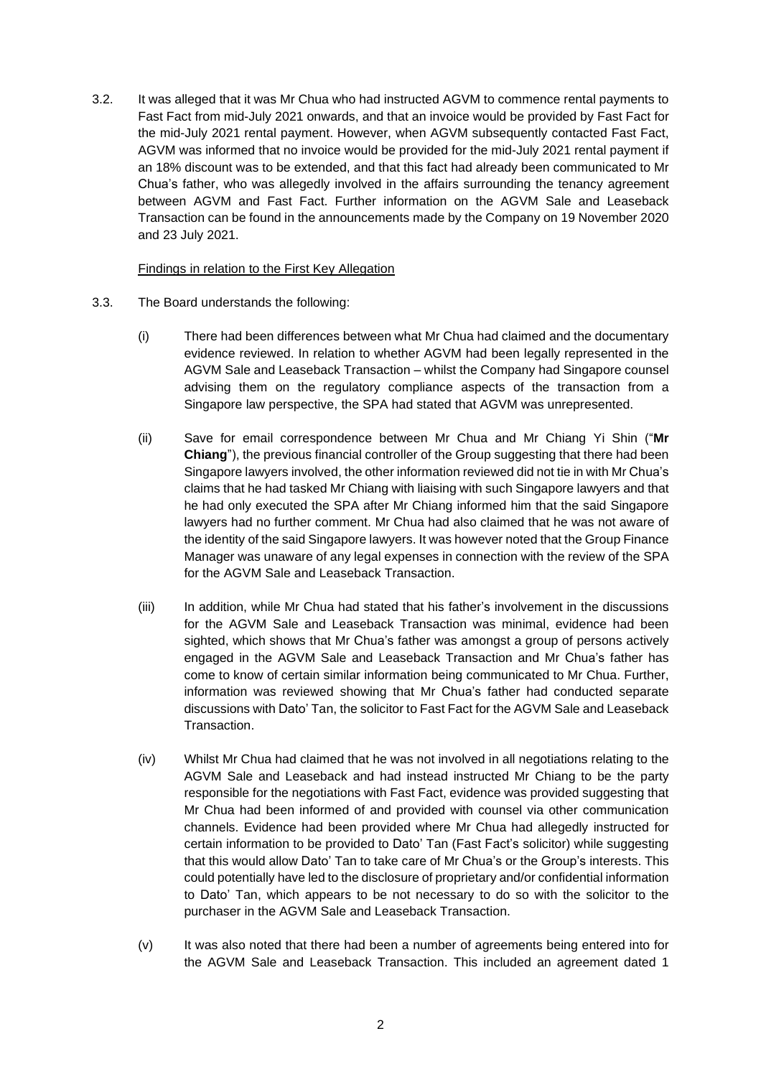3.2. It was alleged that it was Mr Chua who had instructed AGVM to commence rental payments to Fast Fact from mid-July 2021 onwards, and that an invoice would be provided by Fast Fact for the mid-July 2021 rental payment. However, when AGVM subsequently contacted Fast Fact, AGVM was informed that no invoice would be provided for the mid-July 2021 rental payment if an 18% discount was to be extended, and that this fact had already been communicated to Mr Chua's father, who was allegedly involved in the affairs surrounding the tenancy agreement between AGVM and Fast Fact. Further information on the AGVM Sale and Leaseback Transaction can be found in the announcements made by the Company on 19 November 2020 and 23 July 2021.

#### Findings in relation to the First Key Allegation

- 3.3. The Board understands the following:
	- (i) There had been differences between what Mr Chua had claimed and the documentary evidence reviewed. In relation to whether AGVM had been legally represented in the AGVM Sale and Leaseback Transaction – whilst the Company had Singapore counsel advising them on the regulatory compliance aspects of the transaction from a Singapore law perspective, the SPA had stated that AGVM was unrepresented.
	- (ii) Save for email correspondence between Mr Chua and Mr Chiang Yi Shin ("**Mr Chiang**"), the previous financial controller of the Group suggesting that there had been Singapore lawyers involved, the other information reviewed did not tie in with Mr Chua's claims that he had tasked Mr Chiang with liaising with such Singapore lawyers and that he had only executed the SPA after Mr Chiang informed him that the said Singapore lawyers had no further comment. Mr Chua had also claimed that he was not aware of the identity of the said Singapore lawyers. It was however noted that the Group Finance Manager was unaware of any legal expenses in connection with the review of the SPA for the AGVM Sale and Leaseback Transaction.
	- (iii) In addition, while Mr Chua had stated that his father's involvement in the discussions for the AGVM Sale and Leaseback Transaction was minimal, evidence had been sighted, which shows that Mr Chua's father was amongst a group of persons actively engaged in the AGVM Sale and Leaseback Transaction and Mr Chua's father has come to know of certain similar information being communicated to Mr Chua. Further, information was reviewed showing that Mr Chua's father had conducted separate discussions with Dato' Tan, the solicitor to Fast Fact for the AGVM Sale and Leaseback Transaction.
	- (iv) Whilst Mr Chua had claimed that he was not involved in all negotiations relating to the AGVM Sale and Leaseback and had instead instructed Mr Chiang to be the party responsible for the negotiations with Fast Fact, evidence was provided suggesting that Mr Chua had been informed of and provided with counsel via other communication channels. Evidence had been provided where Mr Chua had allegedly instructed for certain information to be provided to Dato' Tan (Fast Fact's solicitor) while suggesting that this would allow Dato' Tan to take care of Mr Chua's or the Group's interests. This could potentially have led to the disclosure of proprietary and/or confidential information to Dato' Tan, which appears to be not necessary to do so with the solicitor to the purchaser in the AGVM Sale and Leaseback Transaction.
	- (v) It was also noted that there had been a number of agreements being entered into for the AGVM Sale and Leaseback Transaction. This included an agreement dated 1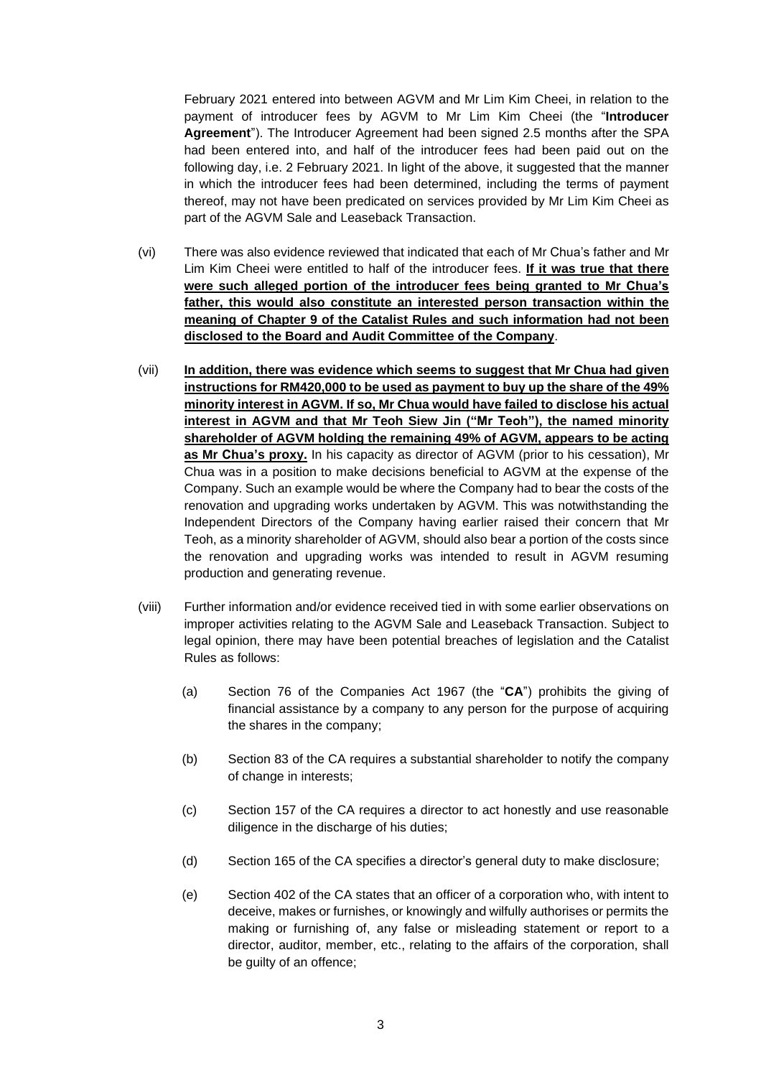February 2021 entered into between AGVM and Mr Lim Kim Cheei, in relation to the payment of introducer fees by AGVM to Mr Lim Kim Cheei (the "**Introducer Agreement**"). The Introducer Agreement had been signed 2.5 months after the SPA had been entered into, and half of the introducer fees had been paid out on the following day, i.e. 2 February 2021. In light of the above, it suggested that the manner in which the introducer fees had been determined, including the terms of payment thereof, may not have been predicated on services provided by Mr Lim Kim Cheei as part of the AGVM Sale and Leaseback Transaction.

- (vi) There was also evidence reviewed that indicated that each of Mr Chua's father and Mr Lim Kim Cheei were entitled to half of the introducer fees. **If it was true that there were such alleged portion of the introducer fees being granted to Mr Chua's father, this would also constitute an interested person transaction within the meaning of Chapter 9 of the Catalist Rules and such information had not been disclosed to the Board and Audit Committee of the Company**.
- (vii) **In addition, there was evidence which seems to suggest that Mr Chua had given instructions for RM420,000 to be used as payment to buy up the share of the 49% minority interest in AGVM. If so, Mr Chua would have failed to disclose his actual interest in AGVM and that Mr Teoh Siew Jin ("Mr Teoh"), the named minority shareholder of AGVM holding the remaining 49% of AGVM, appears to be acting as Mr Chua's proxy.** In his capacity as director of AGVM (prior to his cessation), Mr Chua was in a position to make decisions beneficial to AGVM at the expense of the Company. Such an example would be where the Company had to bear the costs of the renovation and upgrading works undertaken by AGVM. This was notwithstanding the Independent Directors of the Company having earlier raised their concern that Mr Teoh, as a minority shareholder of AGVM, should also bear a portion of the costs since the renovation and upgrading works was intended to result in AGVM resuming production and generating revenue.
- (viii) Further information and/or evidence received tied in with some earlier observations on improper activities relating to the AGVM Sale and Leaseback Transaction. Subject to legal opinion, there may have been potential breaches of legislation and the Catalist Rules as follows:
	- (a) Section 76 of the Companies Act 1967 (the "**CA**") prohibits the giving of financial assistance by a company to any person for the purpose of acquiring the shares in the company;
	- (b) Section 83 of the CA requires a substantial shareholder to notify the company of change in interests;
	- (c) Section 157 of the CA requires a director to act honestly and use reasonable diligence in the discharge of his duties;
	- (d) Section 165 of the CA specifies a director's general duty to make disclosure;
	- (e) Section 402 of the CA states that an officer of a corporation who, with intent to deceive, makes or furnishes, or knowingly and wilfully authorises or permits the making or furnishing of, any false or misleading statement or report to a director, auditor, member, etc., relating to the affairs of the corporation, shall be guilty of an offence;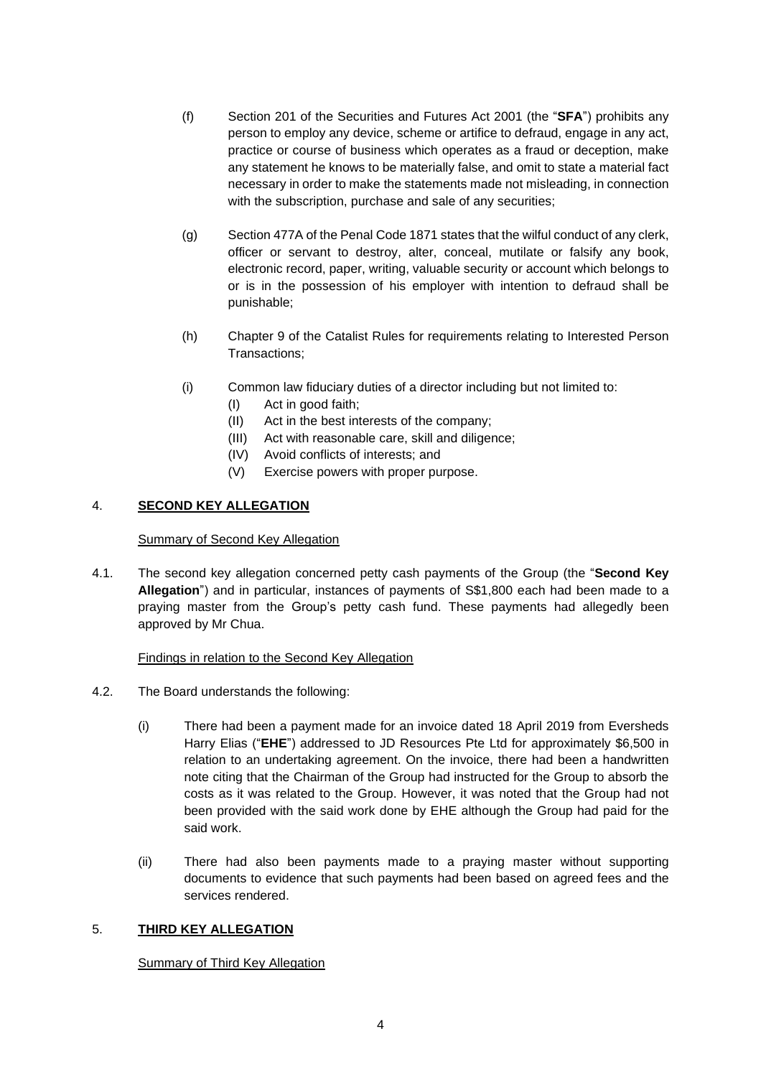- (f) Section 201 of the Securities and Futures Act 2001 (the "**SFA**") prohibits any person to employ any device, scheme or artifice to defraud, engage in any act, practice or course of business which operates as a fraud or deception, make any statement he knows to be materially false, and omit to state a material fact necessary in order to make the statements made not misleading, in connection with the subscription, purchase and sale of any securities;
- (g) Section 477A of the Penal Code 1871 states that the wilful conduct of any clerk, officer or servant to destroy, alter, conceal, mutilate or falsify any book, electronic record, paper, writing, valuable security or account which belongs to or is in the possession of his employer with intention to defraud shall be punishable;
- (h) Chapter 9 of the Catalist Rules for requirements relating to Interested Person Transactions;
- (i) Common law fiduciary duties of a director including but not limited to:
	- (I) Act in good faith;
	- (II) Act in the best interests of the company;
	- (III) Act with reasonable care, skill and diligence;
	- (IV) Avoid conflicts of interests; and
	- (V) Exercise powers with proper purpose.

## 4. **SECOND KEY ALLEGATION**

#### Summary of Second Key Allegation

4.1. The second key allegation concerned petty cash payments of the Group (the "**Second Key Allegation**") and in particular, instances of payments of S\$1,800 each had been made to a praying master from the Group's petty cash fund. These payments had allegedly been approved by Mr Chua.

### Findings in relation to the Second Key Allegation

- 4.2. The Board understands the following:
	- (i) There had been a payment made for an invoice dated 18 April 2019 from Eversheds Harry Elias ("**EHE**") addressed to JD Resources Pte Ltd for approximately \$6,500 in relation to an undertaking agreement. On the invoice, there had been a handwritten note citing that the Chairman of the Group had instructed for the Group to absorb the costs as it was related to the Group. However, it was noted that the Group had not been provided with the said work done by EHE although the Group had paid for the said work.
	- (ii) There had also been payments made to a praying master without supporting documents to evidence that such payments had been based on agreed fees and the services rendered.

### 5. **THIRD KEY ALLEGATION**

### Summary of Third Key Allegation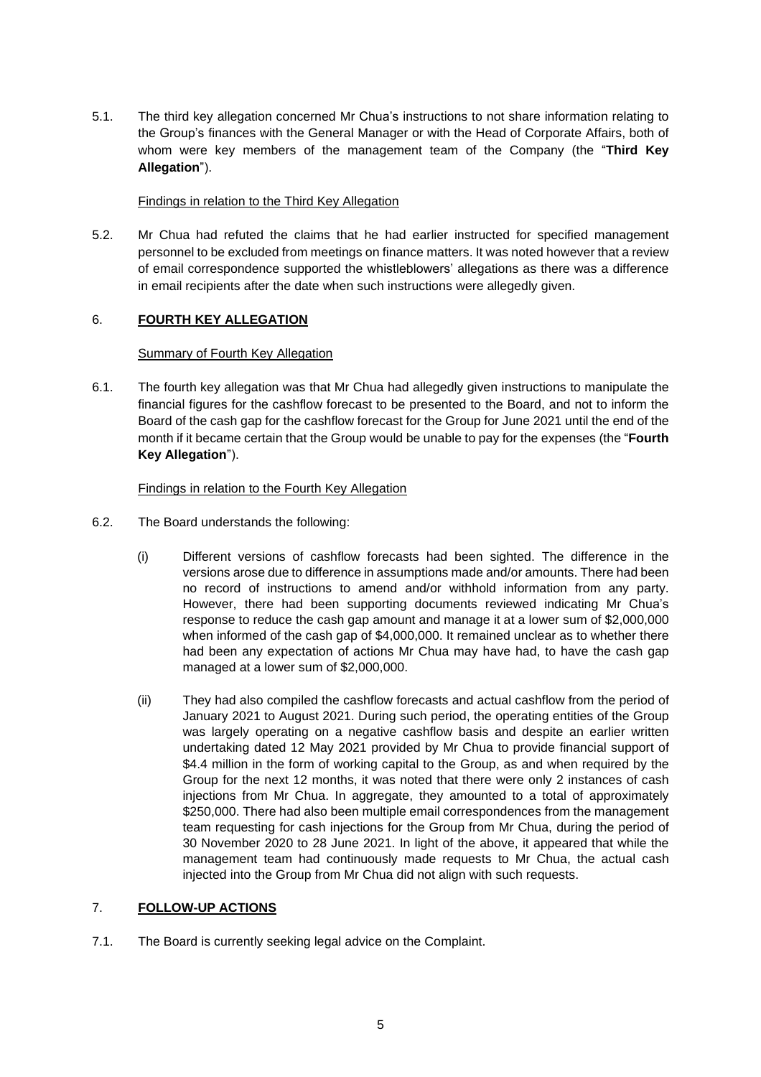5.1. The third key allegation concerned Mr Chua's instructions to not share information relating to the Group's finances with the General Manager or with the Head of Corporate Affairs, both of whom were key members of the management team of the Company (the "**Third Key Allegation**").

## Findings in relation to the Third Key Allegation

5.2. Mr Chua had refuted the claims that he had earlier instructed for specified management personnel to be excluded from meetings on finance matters. It was noted however that a review of email correspondence supported the whistleblowers' allegations as there was a difference in email recipients after the date when such instructions were allegedly given.

## 6. **FOURTH KEY ALLEGATION**

### Summary of Fourth Key Allegation

6.1. The fourth key allegation was that Mr Chua had allegedly given instructions to manipulate the financial figures for the cashflow forecast to be presented to the Board, and not to inform the Board of the cash gap for the cashflow forecast for the Group for June 2021 until the end of the month if it became certain that the Group would be unable to pay for the expenses (the "**Fourth Key Allegation**").

## Findings in relation to the Fourth Key Allegation

- 6.2. The Board understands the following:
	- (i) Different versions of cashflow forecasts had been sighted. The difference in the versions arose due to difference in assumptions made and/or amounts. There had been no record of instructions to amend and/or withhold information from any party. However, there had been supporting documents reviewed indicating Mr Chua's response to reduce the cash gap amount and manage it at a lower sum of \$2,000,000 when informed of the cash gap of \$4,000,000. It remained unclear as to whether there had been any expectation of actions Mr Chua may have had, to have the cash gap managed at a lower sum of \$2,000,000.
	- (ii) They had also compiled the cashflow forecasts and actual cashflow from the period of January 2021 to August 2021. During such period, the operating entities of the Group was largely operating on a negative cashflow basis and despite an earlier written undertaking dated 12 May 2021 provided by Mr Chua to provide financial support of \$4.4 million in the form of working capital to the Group, as and when required by the Group for the next 12 months, it was noted that there were only 2 instances of cash injections from Mr Chua. In aggregate, they amounted to a total of approximately \$250,000. There had also been multiple email correspondences from the management team requesting for cash injections for the Group from Mr Chua, during the period of 30 November 2020 to 28 June 2021. In light of the above, it appeared that while the management team had continuously made requests to Mr Chua, the actual cash injected into the Group from Mr Chua did not align with such requests.

### 7. **FOLLOW-UP ACTIONS**

7.1. The Board is currently seeking legal advice on the Complaint.